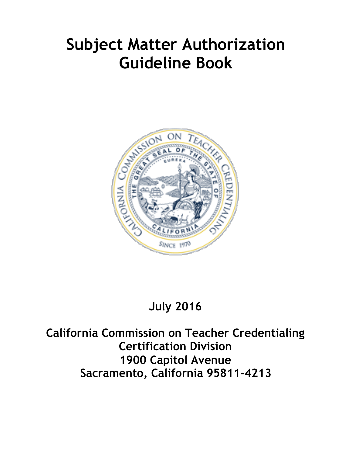# **Subject Matter Authorization Guideline Book**



## **July 2016**

**California Commission on Teacher Credentialing Certification Division 1900 Capitol Avenue Sacramento, California 95811-4213**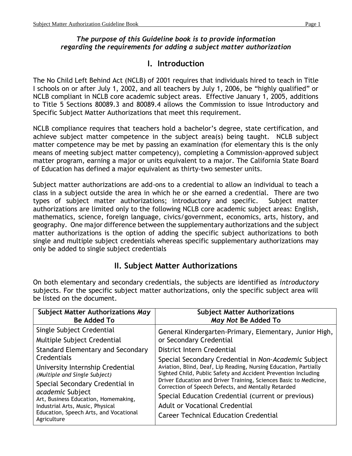#### *The purpose of this Guideline book is to provide information regarding the requirements for adding a subject matter authorization*

## **I. Introduction**

The No Child Left Behind Act (NCLB) of 2001 requires that individuals hired to teach in Title I schools on or after July 1, 2002, and all teachers by July 1, 2006, be "highly qualified" or NCLB compliant in NCLB core academic subject areas. Effective January 1, 2005, additions to Title 5 Sections 80089.3 and 80089.4 allows the Commission to issue Introductory and Specific Subject Matter Authorizations that meet this requirement.

NCLB compliance requires that teachers hold a bachelor's degree, state certification, and achieve subject matter competence in the subject area(s) being taught. NCLB subject matter competence may be met by passing an examination (for elementary this is the only means of meeting subject matter competency), completing a Commission-approved subject matter program, earning a major or units equivalent to a major. The California State Board of Education has defined a major equivalent as thirty-two semester units.

Subject matter authorizations are add-ons to a credential to allow an individual to teach a class in a subject outside the area in which he or she earned a credential. There are two types of subject matter authorizations; introductory and specific. Subject matter authorizations are limited only to the following NCLB core academic subject areas: English, mathematics, science, foreign language, civics/government, economics, arts, history, and geography. One major difference between the supplementary authorizations and the subject matter authorizations is the option of adding the specific subject authorizations to both single and multiple subject credentials whereas specific supplementary authorizations may only be added to single subject credentials

## **II. Subject Matter Authorizations**

On both elementary and secondary credentials, the subjects are identified as *introductory* subjects. For the specific subject matter authorizations, only the specific subject area will be listed on the document.

| <b>Subject Matter Authorizations May</b>                                                                                                                                                 | <b>Subject Matter Authorizations</b>                                                                                                                                                                                                                                                                                                                                                                   |
|------------------------------------------------------------------------------------------------------------------------------------------------------------------------------------------|--------------------------------------------------------------------------------------------------------------------------------------------------------------------------------------------------------------------------------------------------------------------------------------------------------------------------------------------------------------------------------------------------------|
| <b>Be Added To</b>                                                                                                                                                                       | May Not Be Added To                                                                                                                                                                                                                                                                                                                                                                                    |
| Single Subject Credential                                                                                                                                                                | General Kindergarten-Primary, Elementary, Junior High,                                                                                                                                                                                                                                                                                                                                                 |
| Multiple Subject Credential                                                                                                                                                              | or Secondary Credential                                                                                                                                                                                                                                                                                                                                                                                |
| <b>Standard Elementary and Secondary</b>                                                                                                                                                 | District Intern Credential                                                                                                                                                                                                                                                                                                                                                                             |
| Credentials                                                                                                                                                                              | Special Secondary Credential in Non-Academic Subject                                                                                                                                                                                                                                                                                                                                                   |
| University Internship Credential<br>(Multiple and Single Subject)                                                                                                                        | Aviation, Blind, Deaf, Lip Reading, Nursing Education, Partially<br>Sighted Child, Public Safety and Accident Prevention Including<br>Driver Education and Driver Training, Sciences Basic to Medicine,<br>Correction of Speech Defects, and Mentally Retarded<br>Special Education Credential (current or previous)<br>Adult or Vocational Credential<br><b>Career Technical Education Credential</b> |
| Special Secondary Credential in<br>academic Subject<br>Art, Business Education, Homemaking,<br>Industrial Arts, Music, Physical<br>Education, Speech Arts, and Vocational<br>Agriculture |                                                                                                                                                                                                                                                                                                                                                                                                        |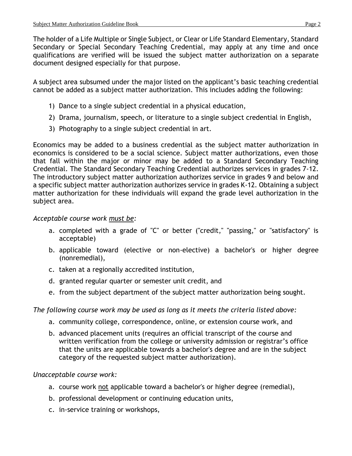The holder of a Life Multiple or Single Subject, or Clear or Life Standard Elementary, Standard Secondary or Special Secondary Teaching Credential, may apply at any time and once qualifications are verified will be issued the subject matter authorization on a separate document designed especially for that purpose.

A subject area subsumed under the major listed on the applicant's basic teaching credential cannot be added as a subject matter authorization. This includes adding the following:

- 1) Dance to a single subject credential in a physical education,
- 2) Drama, journalism, speech, or literature to a single subject credential in English,
- 3) Photography to a single subject credential in art.

Economics may be added to a business credential as the subject matter authorization in economics is considered to be a social science. Subject matter authorizations, even those that fall within the major or minor may be added to a Standard Secondary Teaching Credential. The Standard Secondary Teaching Credential authorizes services in grades 7-12. The introductory subject matter authorization authorizes service in grades 9 and below and a specific subject matter authorization authorizes service in grades K-12. Obtaining a subject matter authorization for these individuals will expand the grade level authorization in the subject area.

#### *Acceptable course work must be:*

- a. completed with a grade of "C" or better ("credit," "passing," or "satisfactory" is acceptable)
- b. applicable toward (elective or non-elective) a bachelor's or higher degree (nonremedial),
- c. taken at a regionally accredited institution,
- d. granted regular quarter or semester unit credit, and
- e. from the subject department of the subject matter authorization being sought.

#### *The following course work may be used as long as it meets the criteria listed above:*

- a. community college, correspondence, online, or extension course work, and
- b. advanced placement units (requires an official transcript of the course and written verification from the college or university admission or registrar's office that the units are applicable towards a bachelor's degree and are in the subject category of the requested subject matter authorization).

#### *Unacceptable course work:*

- a. course work not applicable toward a bachelor's or higher degree (remedial),
- b. professional development or continuing education units,
- c. in-service training or workshops,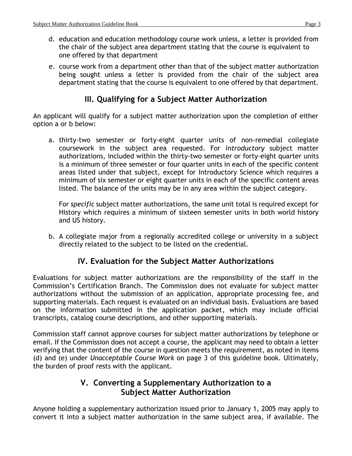- d. education and education methodology course work unless, a letter is provided from the chair of the subject area department stating that the course is equivalent to one offered by that department
- e. course work from a department other than that of the subject matter authorization being sought unless a letter is provided from the chair of the subject area department stating that the course is equivalent to one offered by that department.

## **III. Qualifying for a Subject Matter Authorization**

An applicant will qualify for a subject matter authorization upon the completion of either option a or b below:

a. thirty-two semester or forty-eight quarter units of non-remedial collegiate coursework in the subject area requested. For *introductory* subject matter authorizations, included within the thirty-two semester or forty-eight quarter units is a minimum of three semester or four quarter units in each of the specific content areas listed under that subject, except for Introductory Science which requires a minimum of six semester or eight quarter units in each of the specific content areas listed. The balance of the units may be in any area within the subject category.

For *specific* subject matter authorizations, the same unit total is required except for History which requires a minimum of sixteen semester units in both world history and US history.

b. A collegiate major from a regionally accredited college or university in a subject directly related to the subject to be listed on the credential.

## **IV. Evaluation for the Subject Matter Authorizations**

Evaluations for subject matter authorizations are the responsibility of the staff in the Commission's Certification Branch. The Commission does not evaluate for subject matter authorizations without the submission of an application, appropriate processing fee, and supporting materials. Each request is evaluated on an individual basis. Evaluations are based on the information submitted in the application packet, which may include official transcripts, catalog course descriptions, and other supporting materials.

Commission staff cannot approve courses for subject matter authorizations by telephone or email. If the Commission does not accept a course, the applicant may need to obtain a letter verifying that the content of the course in question meets the requirement, as noted in items (d) and (e) under *Unacceptable Course Work* on page 3 of this guideline book. Ultimately, the burden of proof rests with the applicant.

## **V. Converting a Supplementary Authorization to a Subject Matter Authorization**

Anyone holding a supplementary authorization issued prior to January 1, 2005 may apply to convert it into a subject matter authorization in the same subject area, if available. The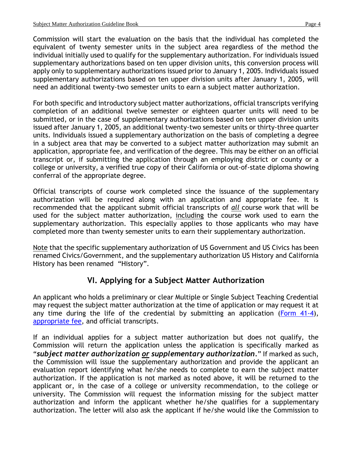Commission will start the evaluation on the basis that the individual has completed the equivalent of twenty semester units in the subject area regardless of the method the individual initially used to qualify for the supplementary authorization. For individuals issued supplementary authorizations based on ten upper division units, this conversion process will apply only to supplementary authorizations issued prior to January 1, 2005. Individuals issued supplementary authorizations based on ten upper division units after January 1, 2005, will need an additional twenty-two semester units to earn a subject matter authorization.

For both specific and introductory subject matter authorizations, official transcripts verifying completion of an additional twelve semester or eighteen quarter units will need to be submitted, or in the case of supplementary authorizations based on ten upper division units issued after January 1, 2005, an additional twenty-two semester units or thirty-three quarter units. Individuals issued a supplementary authorization on the basis of completing a degree in a subject area that may be converted to a subject matter authorization may submit an application, appropriate fee, and verification of the degree. This may be either on an official transcript or, if submitting the application through an employing district or county or a college or university, a verified true copy of their California or out-of-state diploma showing conferral of the appropriate degree.

Official transcripts of course work completed since the issuance of the supplementary authorization will be required along with an application and appropriate fee. It is recommended that the applicant submit official transcripts of *all* course work that will be used for the subject matter authorization, including the course work used to earn the supplementary authorization. This especially applies to those applicants who may have completed more than twenty semester units to earn their supplementary authorization.

Note that the specific supplementary authorization of US Government and US Civics has been renamed Civics/Government, and the supplementary authorization US History and California History has been renamed "History".

## **VI. Applying for a Subject Matter Authorization**

An applicant who holds a preliminary or clear Multiple or Single Subject Teaching Credential may request the subject matter authorization at the time of application or may request it at any time during the life of the credential by submitting an application [\(Form 41-4\)](http://www.ctc.ca.gov/credentials/leaflets/414.pdf), [appropriate fee,](http://www.ctc.ca.gov/credentials/leaflets/cl659.pdf) and official transcripts.

If an individual applies for a subject matter authorization but does not qualify, the Commission will return the application unless the application is specifically marked as "*subject matter authorization or supplementary authorization.*" If marked as such, the Commission will issue the supplementary authorization and provide the applicant an evaluation report identifying what he/she needs to complete to earn the subject matter authorization. If the application is not marked as noted above, it will be returned to the applicant or, in the case of a college or university recommendation, to the college or university. The Commission will request the information missing for the subject matter authorization and inform the applicant whether he/she qualifies for a supplementary authorization. The letter will also ask the applicant if he/she would like the Commission to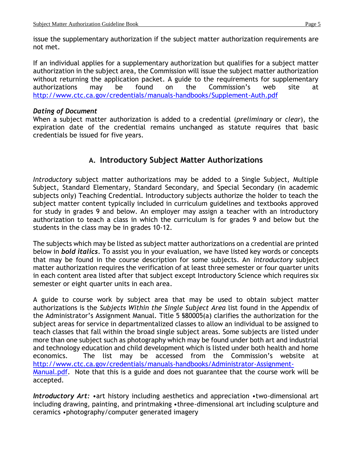issue the supplementary authorization if the subject matter authorization requirements are not met.

If an individual applies for a supplementary authorization but qualifies for a subject matter authorization in the subject area, the Commission will issue the subject matter authorization without returning the application packet. A guide to the requirements for supplementary authorizations may be found on the Commission's web site at <http://www.ctc.ca.gov/credentials/manuals-handbooks/Supplement-Auth.pdf>

#### *Dating of Document*

When a subject matter authorization is added to a credential (*preliminary* or *clear*), the expiration date of the credential remains unchanged as statute requires that basic credentials be issued for five years.

## **A. Introductory Subject Matter Authorizations**

*Introductory* subject matter authorizations may be added to a Single Subject, Multiple Subject, Standard Elementary, Standard Secondary, and Special Secondary (in academic subjects only) Teaching Credential. Introductory subjects authorize the holder to teach the subject matter content typically included in curriculum guidelines and textbooks approved for study in grades 9 and below. An employer may assign a teacher with an introductory authorization to teach a class in which the curriculum is for grades 9 and below but the students in the class may be in grades 10-12.

The subjects which may be listed as subject matter authorizations on a credential are printed below in *bold italics.* To assist you in your evaluation, we have listed key words or concepts that may be found in the course description for some subjects. An *introductory* subject matter authorization requires the verification of at least three semester or four quarter units in each content area listed after that subject except Introductory Science which requires six semester or eight quarter units in each area.

A guide to course work by subject area that may be used to obtain subject matter authorizations is the *Subjects Within the Single Subject Area* list found in the Appendix of the Administrator's Assignment Manual. Title 5 §80005(a) clarifies the authorization for the subject areas for service in departmentalized classes to allow an individual to be assigned to teach classes that fall within the broad single subject areas. Some subjects are listed under more than one subject such as photography which may be found under both art and industrial and technology education and child development which is listed under both health and home economics. The list may be accessed from the Commission's website at [http://www.ctc.ca.gov/credentials/manuals-handbooks/Administrator-Assignment-](http://www.ctc.ca.gov/credentials/manuals-handbooks/Administrator-Assignment-Manual.pdf)[Manual.pdf.](http://www.ctc.ca.gov/credentials/manuals-handbooks/Administrator-Assignment-Manual.pdf) Note that this is a guide and does not guarantee that the course work will be accepted.

*Introductory Art:* •art history including aesthetics and appreciation •two-dimensional art including drawing, painting, and printmaking •three-dimensional art including sculpture and ceramics •photography/computer generated imagery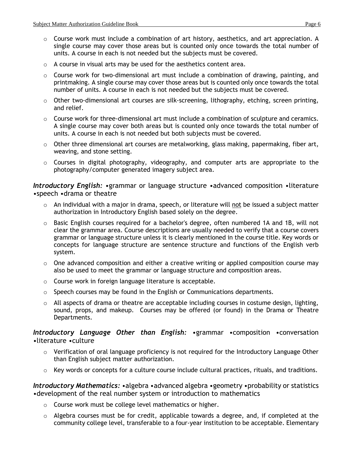- $\circ$  Course work must include a combination of art history, aesthetics, and art appreciation. A single course may cover those areas but is counted only once towards the total number of units. A course in each is not needed but the subjects must be covered.
- o A course in visual arts may be used for the aesthetics content area.
- o Course work for two-dimensional art must include a combination of drawing, painting, and printmaking. A single course may cover those areas but is counted only once towards the total number of units. A course in each is not needed but the subjects must be covered.
- $\circ$  Other two-dimensional art courses are silk-screening, lithography, etching, screen printing, and relief.
- $\circ$  Course work for three-dimensional art must include a combination of sculpture and ceramics. A single course may cover both areas but is counted only once towards the total number of units. A course in each is not needed but both subjects must be covered.
- $\circ$  Other three dimensional art courses are metalworking, glass making, papermaking, fiber art, weaving, and stone setting.
- o Courses in digital photography, videography, and computer arts are appropriate to the photography/computer generated imagery subject area.

*Introductory English:* •grammar or language structure •advanced composition •literature •speech •drama or theatre

- $\circ$  An individual with a major in drama, speech, or literature will not be issued a subject matter authorization in Introductory English based solely on the degree.
- $\circ$  Basic English courses required for a bachelor's degree, often numbered 1A and 1B, will not clear the grammar area. Course descriptions are usually needed to verify that a course covers grammar or language structure unless it is clearly mentioned in the course title. Key words or concepts for language structure are sentence structure and functions of the English verb system.
- o One advanced composition and either a creative writing or applied composition course may also be used to meet the grammar or language structure and composition areas.
- o Course work in foreign language literature is acceptable.
- $\circ$  Speech courses may be found in the English or Communications departments.
- o All aspects of drama or theatre are acceptable including courses in costume design, lighting, sound, props, and makeup. Courses may be offered (or found) in the Drama or Theatre Departments.

*Introductory Language Other than English:* •grammar •composition •conversation •literature •culture

- $\circ$  Verification of oral language proficiency is not required for the Introductory Language Other than English subject matter authorization.
- o Key words or concepts for a culture course include cultural practices, rituals, and traditions.

*Introductory Mathematics:* •algebra •advanced algebra •geometry •probability or statistics •development of the real number system or introduction to mathematics

- o Course work must be college level mathematics or higher.
- o Algebra courses must be for credit, applicable towards a degree, and, if completed at the community college level, transferable to a four-year institution to be acceptable. Elementary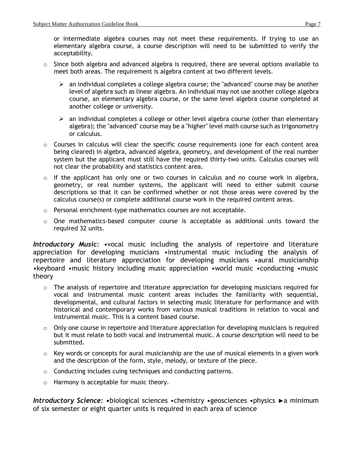or intermediate algebra courses may not meet these requirements. If trying to use an elementary algebra course, a course description will need to be submitted to verify the acceptability.

- o Since both algebra and advanced algebra is required, there are several options available to meet both areas. The requirement is algebra content at two different levels.
	- $\triangleright$  an individual completes a college algebra course; the "advanced" course may be another level of algebra such as linear algebra. An individual may not use another college algebra course, an elementary algebra course, or the same level algebra course completed at another college or university.
	- $\triangleright$  an individual completes a college or other level algebra course (other than elementary algebra); the "advanced" course may be a "higher" level math course such as trigonometry or calculus.
- o Courses in calculus will clear the specific course requirements (one for each content area being cleared) in algebra, advanced algebra, geometry, and development of the real number system but the applicant must still have the required thirty-two units. Calculus courses will not clear the probability and statistics content area.
- o If the applicant has only one or two courses in calculus and no course work in algebra, geometry, or real number systems, the applicant will need to either submit course descriptions so that it can be confirmed whether or not those areas were covered by the calculus course(s) or complete additional course work in the required content areas.
- o Personal enrichment-type mathematics courses are not acceptable.
- $\circ$  One mathematics-based computer course is acceptable as additional units toward the required 32 units.

*Introductory Music:* •vocal music including the analysis of repertoire and literature appreciation for developing musicians •instrumental music including the analysis of repertoire and literature appreciation for developing musicians •aural musicianship •keyboard •music history including music appreciation •world music •conducting •music theory

- o The analysis of repertoire and literature appreciation for developing musicians required for vocal and instrumental music content areas includes the familiarity with sequential, developmental, and cultural factors in selecting music literature for performance and with historical and contemporary works from various musical traditions in relation to vocal and instrumental music. This is a content based course.
- $\circ$  Only one course in repertoire and literature appreciation for developing musicians is required but it must relate to both vocal and instrumental music. A course description will need to be submitted.
- o Key words or concepts for aural musicianship are the use of musical elements in a given work and the description of the form, style, melody, or texture of the piece.
- o Conducting includes cuing techniques and conducting patterns.
- o Harmony is acceptable for music theory.

*Introductory Science:* **•**biological sciences •chemistry •geosciences •physics ►a minimum of six semester or eight quarter units is required in each area of science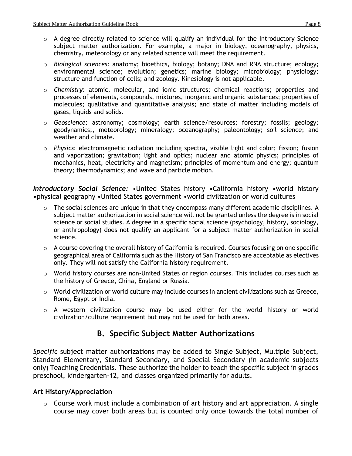- o A degree directly related to science will qualify an individual for the Introductory Science subject matter authorization. For example, a major in biology, oceanography, physics, chemistry, meteorology or any related science will meet the requirement.
- o *Biological sciences*: anatomy; bioethics, biology; botany; DNA and RNA structure; ecology; environmental science; evolution; genetics; marine biology; microbiology; physiology; structure and function of cells; and zoology. Kinesiology is not applicable.
- o *Chemistry*: atomic, molecular, and ionic structures; chemical reactions; properties and processes of elements, compounds, mixtures, inorganic and organic substances; properties of molecules; qualitative and quantitative analysis; and state of matter including models of gases, liquids and solids.
- o *Geoscience*: astronomy; cosmology; earth science/resources; forestry; fossils; geology; geodynamics;, meteorology; mineralogy; oceanography; paleontology; soil science; and weather and climate.
- o *Physics*: electromagnetic radiation including spectra, visible light and color; fission; fusion and vaporization; gravitation; light and optics; nuclear and atomic physics; principles of mechanics, heat, electricity and magnetism; principles of momentum and energy; quantum theory; thermodynamics; and wave and particle motion.

*Introductory Social Science:* •United States history •California history •world history •physical geography •United States government •world civilization or world cultures

- o The social sciences are unique in that they encompass many different academic disciplines. A subject matter authorization in social science will not be granted unless the degree is in social science or social studies. A degree in a specific social science (psychology, history, sociology, or anthropology) does not qualify an applicant for a subject matter authorization in social science.
- $\circ$  A course covering the overall history of California is required. Courses focusing on one specific geographical area of California such as the History of San Francisco are acceptable as electives only. They will not satisfy the California history requirement.
- $\circ$  World history courses are non-United States or region courses. This includes courses such as the history of Greece, China, England or Russia.
- $\circ$  World civilization or world culture may include courses in ancient civilizations such as Greece, Rome, Egypt or India.
- o A western civilization course may be used either for the world history or world civilization/culture requirement but may not be used for both areas.

## **B. Specific Subject Matter Authorizations**

*Specific* subject matter authorizations may be added to Single Subject, Multiple Subject, Standard Elementary, Standard Secondary, and Special Secondary (in academic subjects only) Teaching Credentials. These authorize the holder to teach the specific subject in grades preschool, kindergarten-12, and classes organized primarily for adults.

#### **Art History/Appreciation**

 $\circ$  Course work must include a combination of art history and art appreciation. A single course may cover both areas but is counted only once towards the total number of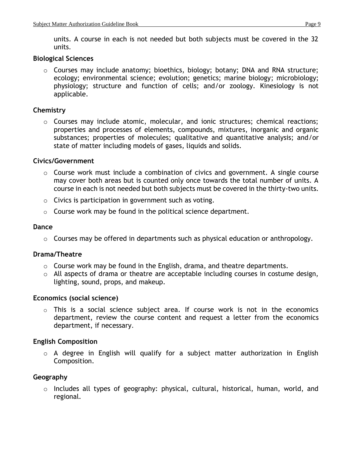units. A course in each is not needed but both subjects must be covered in the 32 units.

#### **Biological Sciences**

o Courses may include anatomy; bioethics, biology; botany; DNA and RNA structure; ecology; environmental science; evolution; genetics; marine biology; microbiology; physiology; structure and function of cells; and/or zoology. Kinesiology is not applicable.

#### **Chemistry**

o Courses may include atomic, molecular, and ionic structures; chemical reactions; properties and processes of elements, compounds, mixtures, inorganic and organic substances; properties of molecules; qualitative and quantitative analysis; and/or state of matter including models of gases, liquids and solids.

#### **Civics/Government**

- o Course work must include a combination of civics and government. A single course may cover both areas but is counted only once towards the total number of units. A course in each is not needed but both subjects must be covered in the thirty-two units.
- o Civics is participation in government such as voting.
- o Course work may be found in the political science department.

#### **Dance**

o Courses may be offered in departments such as physical education or anthropology.

#### **Drama/Theatre**

- o Course work may be found in the English, drama, and theatre departments.
- o All aspects of drama or theatre are acceptable including courses in costume design, lighting, sound, props, and makeup.

#### **Economics (social science)**

o This is a social science subject area. If course work is not in the economics department, review the course content and request a letter from the economics department, if necessary.

#### **English Composition**

o A degree in English will qualify for a subject matter authorization in English Composition.

#### **Geography**

o Includes all types of geography: physical, cultural, historical, human, world, and regional.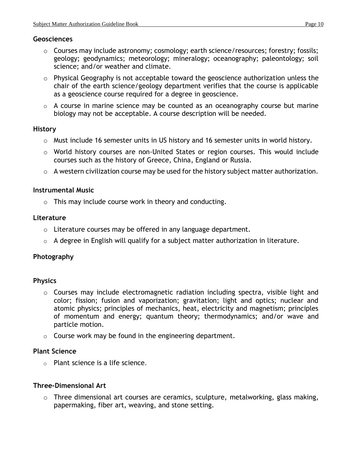#### **Geosciences**

- o Courses may include astronomy; cosmology; earth science/resources; forestry; fossils; geology; geodynamics; meteorology; mineralogy; oceanography; paleontology; soil science; and/or weather and climate.
- o Physical Geography is not acceptable toward the geoscience authorization unless the chair of the earth science/geology department verifies that the course is applicable as a geoscience course required for a degree in geoscience.
- o A course in marine science may be counted as an oceanography course but marine biology may not be acceptable. A course description will be needed.

#### **History**

- o Must include 16 semester units in US history and 16 semester units in world history.
- o World history courses are non-United States or region courses. This would include courses such as the history of Greece, China, England or Russia.
- o A western civilization course may be used for the history subject matter authorization.

#### **Instrumental Music**

o This may include course work in theory and conducting.

#### **Literature**

- o Literature courses may be offered in any language department.
- $\circ$  A degree in English will qualify for a subject matter authorization in literature.

#### **Photography**

#### **Physics**

- o Courses may include electromagnetic radiation including spectra, visible light and color; fission; fusion and vaporization; gravitation; light and optics; nuclear and atomic physics; principles of mechanics, heat, electricity and magnetism; principles of momentum and energy; quantum theory; thermodynamics; and/or wave and particle motion.
- $\circ$  Course work may be found in the engineering department.

#### **Plant Science**

o Plant science is a life science.

#### **Three-Dimensional Art**

o Three dimensional art courses are ceramics, sculpture, metalworking, glass making, papermaking, fiber art, weaving, and stone setting.